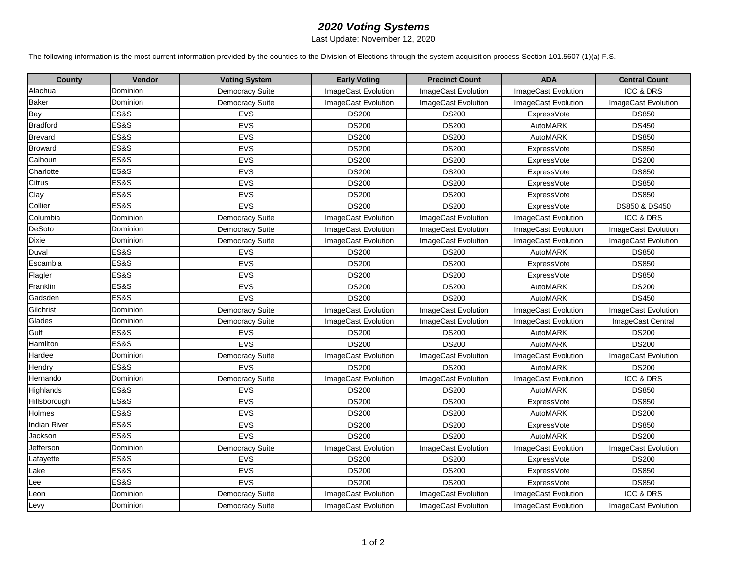## *2020 Voting Systems*

Last Update: November 12, 2020

The following information is the most current information provided by the counties to the Division of Elections through the system acquisition process Section 101.5607 (1)(a) F.S.

| <b>County</b>       | Vendor          | <b>Voting System</b>   | <b>Early Voting</b> | <b>Precinct Count</b> | <b>ADA</b>          | <b>Central Count</b>       |
|---------------------|-----------------|------------------------|---------------------|-----------------------|---------------------|----------------------------|
| Alachua             | Dominion        | <b>Democracy Suite</b> | ImageCast Evolution | ImageCast Evolution   | ImageCast Evolution | <b>ICC &amp; DRS</b>       |
| <b>Baker</b>        | Dominion        | <b>Democracy Suite</b> | ImageCast Evolution | ImageCast Evolution   | ImageCast Evolution | <b>ImageCast Evolution</b> |
| Bay                 | ES&S            | <b>EVS</b>             | <b>DS200</b>        | <b>DS200</b>          | <b>ExpressVote</b>  | <b>DS850</b>               |
| Bradford            | ES&S            | EVS                    | <b>DS200</b>        | <b>DS200</b>          | AutoMARK            | <b>DS450</b>               |
| <b>Brevard</b>      | ES&S            | EVS                    | <b>DS200</b>        | <b>DS200</b>          | AutoMARK            | <b>DS850</b>               |
| <b>Broward</b>      | <b>ES&amp;S</b> | EVS                    | <b>DS200</b>        | <b>DS200</b>          | ExpressVote         | <b>DS850</b>               |
| Calhoun             | ES&S            | <b>EVS</b>             | <b>DS200</b>        | <b>DS200</b>          | ExpressVote         | <b>DS200</b>               |
| Charlotte           | ES&S            | <b>EVS</b>             | <b>DS200</b>        | <b>DS200</b>          | <b>ExpressVote</b>  | <b>DS850</b>               |
| Citrus              | <b>ES&amp;S</b> | EVS                    | <b>DS200</b>        | <b>DS200</b>          | ExpressVote         | <b>DS850</b>               |
| Clay                | ES&S            | <b>EVS</b>             | <b>DS200</b>        | <b>DS200</b>          | ExpressVote         | <b>DS850</b>               |
| Collier             | <b>ES&amp;S</b> | <b>EVS</b>             | <b>DS200</b>        | <b>DS200</b>          | ExpressVote         | DS850 & DS450              |
| Columbia            | Dominion        | <b>Democracy Suite</b> | ImageCast Evolution | ImageCast Evolution   | ImageCast Evolution | ICC & DRS                  |
| <b>DeSoto</b>       | Dominion        | <b>Democracy Suite</b> | ImageCast Evolution | ImageCast Evolution   | ImageCast Evolution | ImageCast Evolution        |
| <b>Dixie</b>        | Dominion        | <b>Democracy Suite</b> | ImageCast Evolution | ImageCast Evolution   | ImageCast Evolution | ImageCast Evolution        |
| Duval               | ES&S            | <b>EVS</b>             | <b>DS200</b>        | <b>DS200</b>          | AutoMARK            | <b>DS850</b>               |
| Escambia            | <b>ES&amp;S</b> | EVS                    | <b>DS200</b>        | <b>DS200</b>          | <b>ExpressVote</b>  | <b>DS850</b>               |
| Flagler             | <b>ES&amp;S</b> | EVS                    | <b>DS200</b>        | <b>DS200</b>          | ExpressVote         | <b>DS850</b>               |
| Franklin            | <b>ES&amp;S</b> | EVS                    | <b>DS200</b>        | <b>DS200</b>          | AutoMARK            | <b>DS200</b>               |
| Gadsden             | <b>ES&amp;S</b> | <b>EVS</b>             | <b>DS200</b>        | <b>DS200</b>          | AutoMARK            | <b>DS450</b>               |
| Gilchrist           | Dominion        | Democracy Suite        | ImageCast Evolution | ImageCast Evolution   | ImageCast Evolution | ImageCast Evolution        |
| Glades              | Dominion        | <b>Democracy Suite</b> | ImageCast Evolution | ImageCast Evolution   | ImageCast Evolution | ImageCast Central          |
| Gulf                | ES&S            | <b>EVS</b>             | <b>DS200</b>        | <b>DS200</b>          | AutoMARK            | <b>DS200</b>               |
| Hamilton            | ES&S            | <b>EVS</b>             | <b>DS200</b>        | <b>DS200</b>          | <b>AutoMARK</b>     | <b>DS200</b>               |
| Hardee              | Dominion        | <b>Democracy Suite</b> | ImageCast Evolution | ImageCast Evolution   | ImageCast Evolution | ImageCast Evolution        |
| Hendry              | ES&S            | <b>EVS</b>             | <b>DS200</b>        | <b>DS200</b>          | AutoMARK            | <b>DS200</b>               |
| Hernando            | Dominion        | Democracy Suite        | ImageCast Evolution | ImageCast Evolution   | ImageCast Evolution | <b>ICC &amp; DRS</b>       |
| Highlands           | ES&S            | <b>EVS</b>             | <b>DS200</b>        | <b>DS200</b>          | AutoMARK            | <b>DS850</b>               |
| Hillsborough        | <b>ES&amp;S</b> | EVS                    | <b>DS200</b>        | <b>DS200</b>          | <b>ExpressVote</b>  | <b>DS850</b>               |
| Holmes              | ES&S            | EVS                    | <b>DS200</b>        | <b>DS200</b>          | AutoMARK            | <b>DS200</b>               |
| <b>Indian River</b> | ES&S            | <b>EVS</b>             | <b>DS200</b>        | <b>DS200</b>          | <b>ExpressVote</b>  | <b>DS850</b>               |
| Jackson             | <b>ES&amp;S</b> | <b>EVS</b>             | <b>DS200</b>        | <b>DS200</b>          | AutoMARK            | <b>DS200</b>               |
| Jefferson           | Dominion        | <b>Democracy Suite</b> | ImageCast Evolution | ImageCast Evolution   | ImageCast Evolution | ImageCast Evolution        |
| Lafayette           | <b>ES&amp;S</b> | <b>EVS</b>             | <b>DS200</b>        | <b>DS200</b>          | ExpressVote         | <b>DS200</b>               |
| Lake                | ES&S            | EVS                    | <b>DS200</b>        | <b>DS200</b>          | ExpressVote         | <b>DS850</b>               |
| Lee                 | ES&S            | EVS                    | <b>DS200</b>        | <b>DS200</b>          | ExpressVote         | <b>DS850</b>               |
| Leon                | Dominion        | Democracy Suite        | ImageCast Evolution | ImageCast Evolution   | ImageCast Evolution | <b>ICC &amp; DRS</b>       |
| Levy                | Dominion        | <b>Democracy Suite</b> | ImageCast Evolution | ImageCast Evolution   | ImageCast Evolution | ImageCast Evolution        |